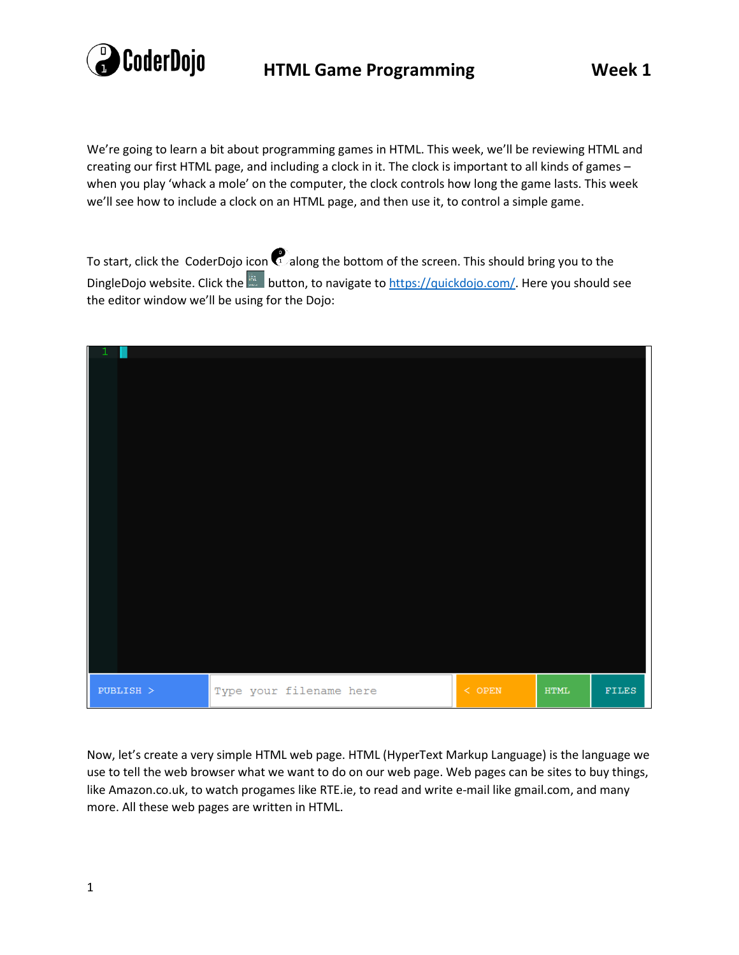

We're going to learn a bit about programming games in HTML. This week, we'll be reviewing HTML and creating our first HTML page, and including a clock in it. The clock is important to all kinds of games – when you play 'whack a mole' on the computer, the clock controls how long the game lasts. This week we'll see how to include a clock on an HTML page, and then use it, to control a simple game.

To start, click the CoderDojo icon  $\mathbb{Q}^3$  along the bottom of the screen. This should bring you to the DingleDojo website. Click the **button**, to navigate to [https://quickdojo.com/.](https://quickdojo.com/) Here you should see the editor window we'll be using for the Dojo:



Now, let's create a very simple HTML web page. HTML (HyperText Markup Language) is the language we use to tell the web browser what we want to do on our web page. Web pages can be sites to buy things, like Amazon.co.uk, to watch progames like RTE.ie, to read and write e-mail like gmail.com, and many more. All these web pages are written in HTML.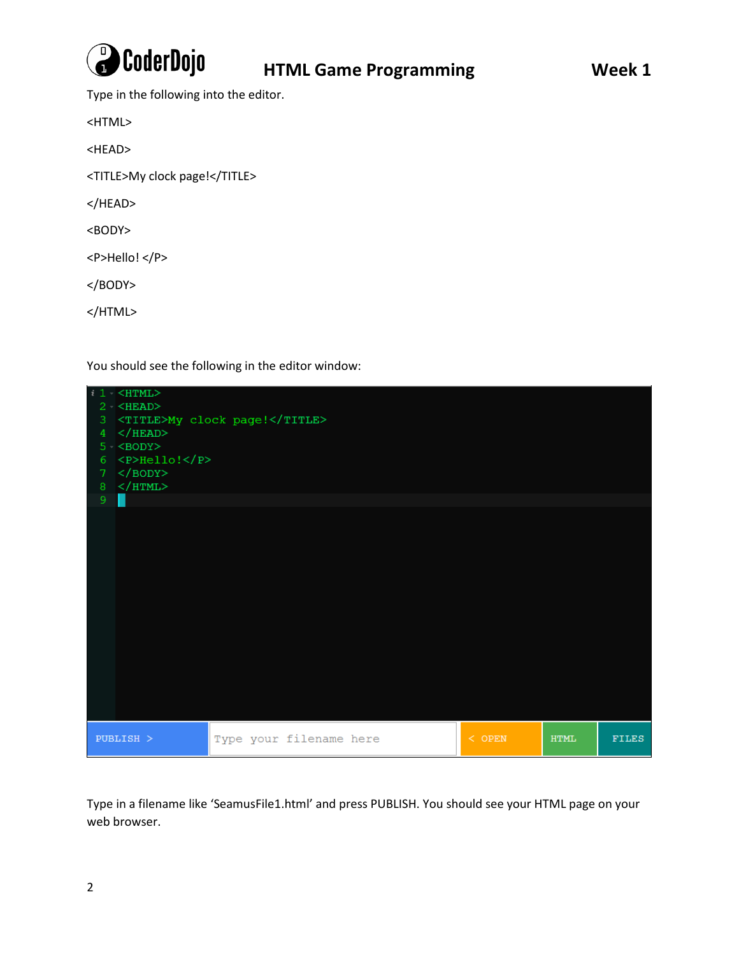

Type in the following into the editor.

<HTML>

<HEAD>

<TITLE>My clock page!</TITLE>

</HEAD>

<BODY>

<P>Hello! </P>

</BODY>

</HTML>

You should see the following in the editor window:



Type in a filename like 'SeamusFile1.html' and press PUBLISH. You should see your HTML page on your web browser.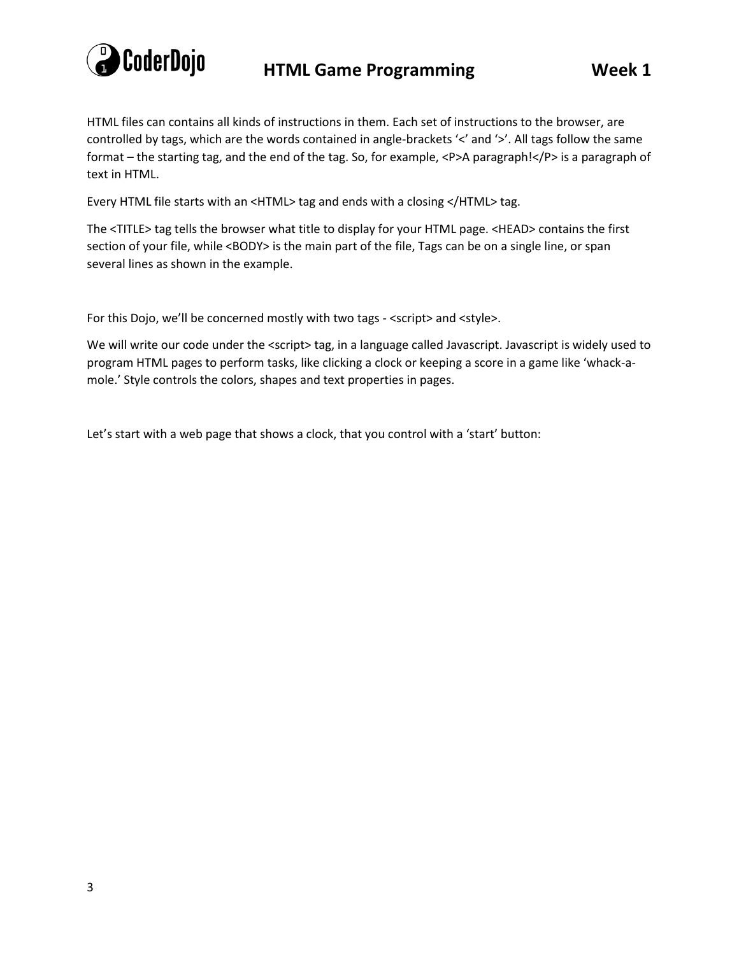

HTML files can contains all kinds of instructions in them. Each set of instructions to the browser, are controlled by tags, which are the words contained in angle-brackets '<' and '>'. All tags follow the same format – the starting tag, and the end of the tag. So, for example, <P>A paragraph!</P> is a paragraph of text in HTML.

Every HTML file starts with an <HTML> tag and ends with a closing </HTML> tag.

The <TITLE> tag tells the browser what title to display for your HTML page. <HEAD> contains the first section of your file, while <BODY> is the main part of the file, Tags can be on a single line, or span several lines as shown in the example.

For this Dojo, we'll be concerned mostly with two tags - <script> and <style>.

We will write our code under the <script> tag, in a language called Javascript. Javascript is widely used to program HTML pages to perform tasks, like clicking a clock or keeping a score in a game like 'whack-amole.' Style controls the colors, shapes and text properties in pages.

Let's start with a web page that shows a clock, that you control with a 'start' button: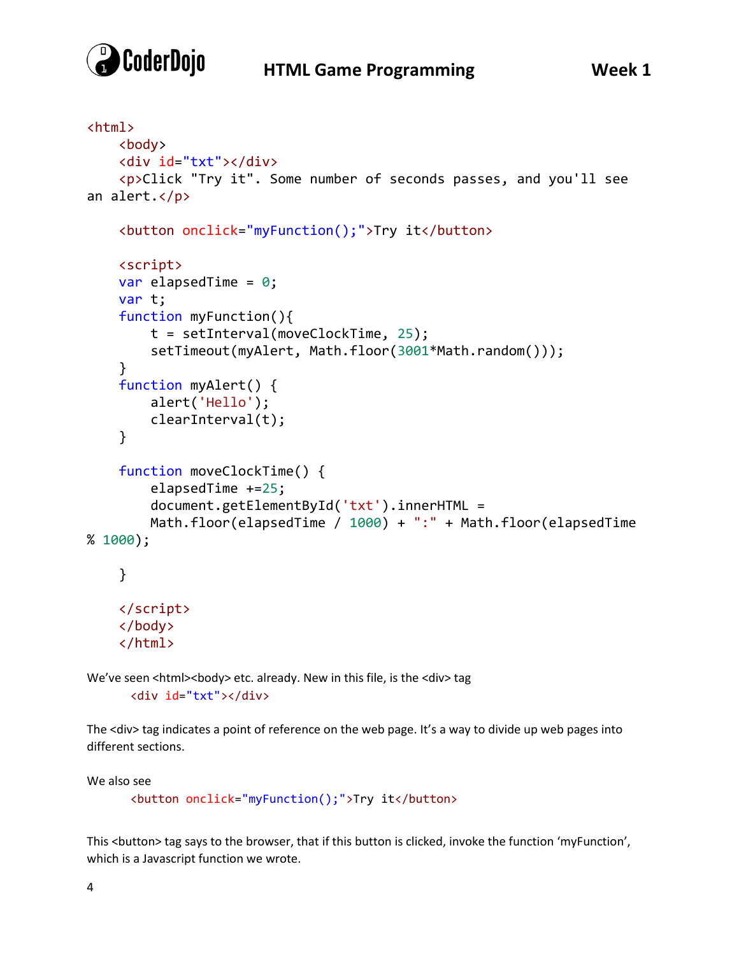

## **HTML Game Programming Week 1**

```
<html>
     <body>
     <div id="txt"></div>
     <p>Click "Try it". Some number of seconds passes, and you'll see 
an alert.</p>
     <button onclick="myFunction();">Try it</button>
     <script>
    var elapsedTime = 0; var t;
     function myFunction(){
         t = setInterval(moveClockTime, 25);
         setTimeout(myAlert, Math.floor(3001*Math.random()));
     }
     function myAlert() {
         alert('Hello');
         clearInterval(t);
     }
     function moveClockTime() {
         elapsedTime +=25;
         document.getElementById('txt').innerHTML =
         Math.floor(elapsedTime / 1000) + ":" + Math.floor(elapsedTime 
% 1000);
     }
     </script>
     </body>
     </html>
```
We've seen <html><br/>body> etc. already. New in this file, is the <div> tag <div id="txt"></div>

The <div> tag indicates a point of reference on the web page. It's a way to divide up web pages into different sections.

We also see

<button onclick="myFunction();">Try it</button>

This <button> tag says to the browser, that if this button is clicked, invoke the function 'myFunction', which is a Javascript function we wrote.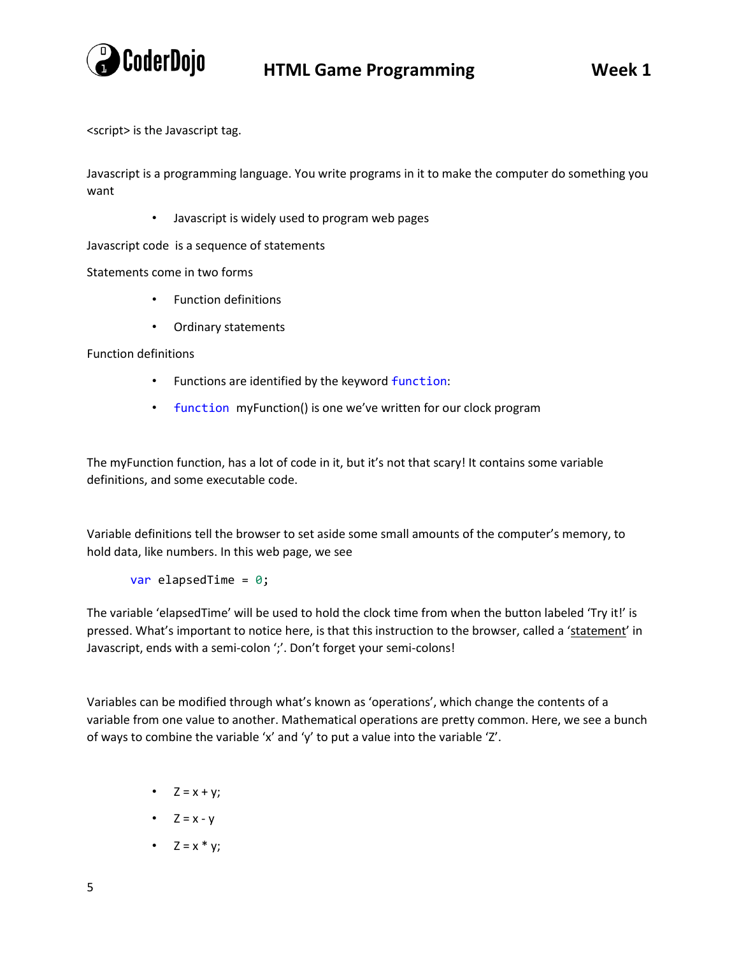

<script> is the Javascript tag.

Javascript is a programming language. You write programs in it to make the computer do something you want

• Javascript is widely used to program web pages

Javascript code is a sequence of statements

Statements come in two forms

- Function definitions
- Ordinary statements

Function definitions

- Functions are identified by the keyword function:
- function myFunction() is one we've written for our clock program

The myFunction function, has a lot of code in it, but it's not that scary! It contains some variable definitions, and some executable code.

Variable definitions tell the browser to set aside some small amounts of the computer's memory, to hold data, like numbers. In this web page, we see

var elapsedTime =  $0$ ;

The variable 'elapsedTime' will be used to hold the clock time from when the button labeled 'Try it!' is pressed. What's important to notice here, is that this instruction to the browser, called a 'statement' in Javascript, ends with a semi-colon ';'. Don't forget your semi-colons!

Variables can be modified through what's known as 'operations', which change the contents of a variable from one value to another. Mathematical operations are pretty common. Here, we see a bunch of ways to combine the variable 'x' and 'y' to put a value into the variable 'Z'.

- $Z = x + y$ ;
- $Z = x y$
- $Z = x * y;$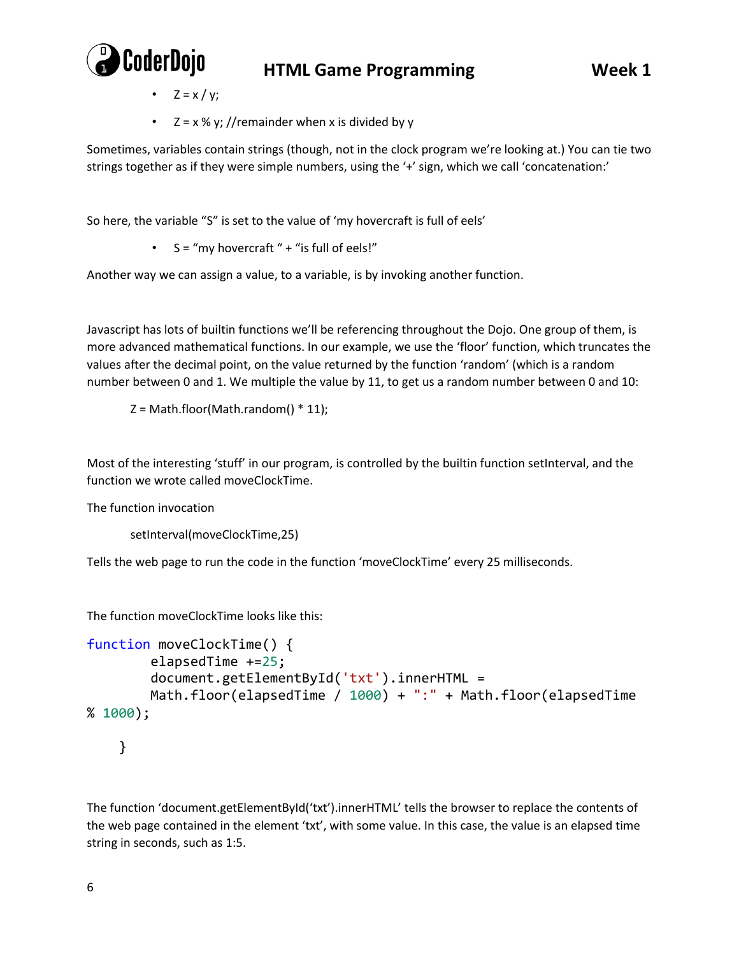

- $Z = x / y;$
- $Z = x \frac{1}{9}$  //remainder when x is divided by y

Sometimes, variables contain strings (though, not in the clock program we're looking at.) You can tie two strings together as if they were simple numbers, using the '+' sign, which we call 'concatenation:'

So here, the variable "S" is set to the value of 'my hovercraft is full of eels'

•  $S = "my$  hovercraft " + "is full of eels!"

Another way we can assign a value, to a variable, is by invoking another function.

Javascript has lots of builtin functions we'll be referencing throughout the Dojo. One group of them, is more advanced mathematical functions. In our example, we use the 'floor' function, which truncates the values after the decimal point, on the value returned by the function 'random' (which is a random number between 0 and 1. We multiple the value by 11, to get us a random number between 0 and 10:

 $Z = Math.float(Math.random() * 11);$ 

Most of the interesting 'stuff' in our program, is controlled by the builtin function setInterval, and the function we wrote called moveClockTime.

The function invocation

```
setInterval(moveClockTime,25)
```
Tells the web page to run the code in the function 'moveClockTime' every 25 milliseconds.

The function moveClockTime looks like this:

```
function moveClockTime() {
         elapsedTime +=25;
         document.getElementById('txt').innerHTML =
         Math.floor(elapsedTime / 1000) + ":" + Math.floor(elapsedTime 
% 1000);
     }
```
The function 'document.getElementById('txt').innerHTML' tells the browser to replace the contents of the web page contained in the element 'txt', with some value. In this case, the value is an elapsed time string in seconds, such as 1:5.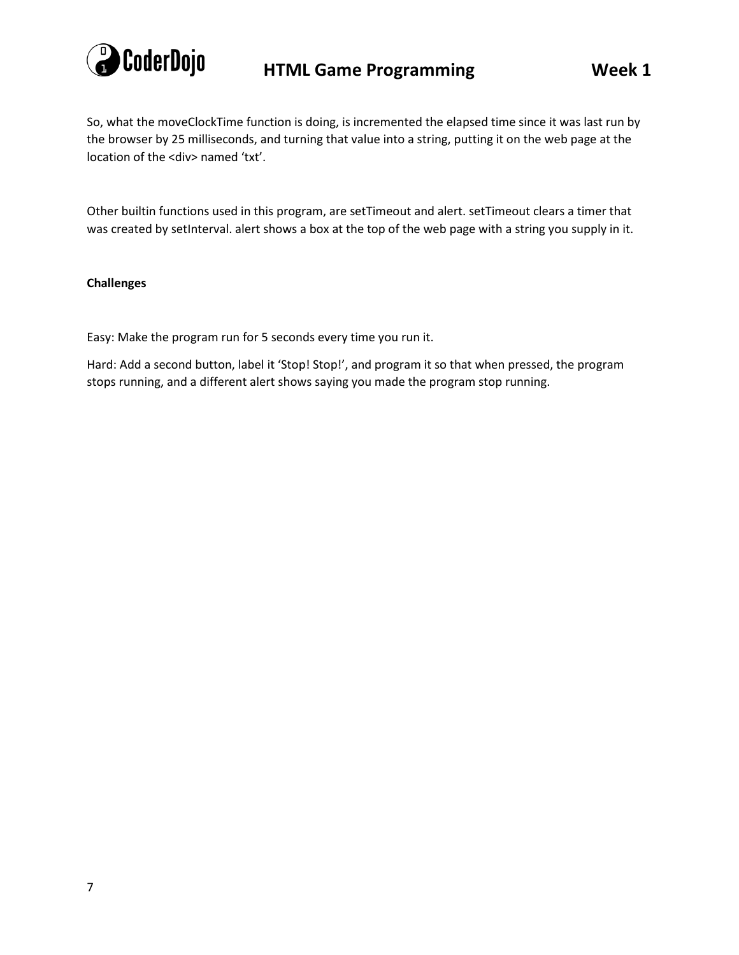

So, what the moveClockTime function is doing, is incremented the elapsed time since it was last run by the browser by 25 milliseconds, and turning that value into a string, putting it on the web page at the location of the <div> named 'txt'.

Other builtin functions used in this program, are setTimeout and alert. setTimeout clears a timer that was created by setInterval. alert shows a box at the top of the web page with a string you supply in it.

#### **Challenges**

Easy: Make the program run for 5 seconds every time you run it.

Hard: Add a second button, label it 'Stop! Stop!', and program it so that when pressed, the program stops running, and a different alert shows saying you made the program stop running.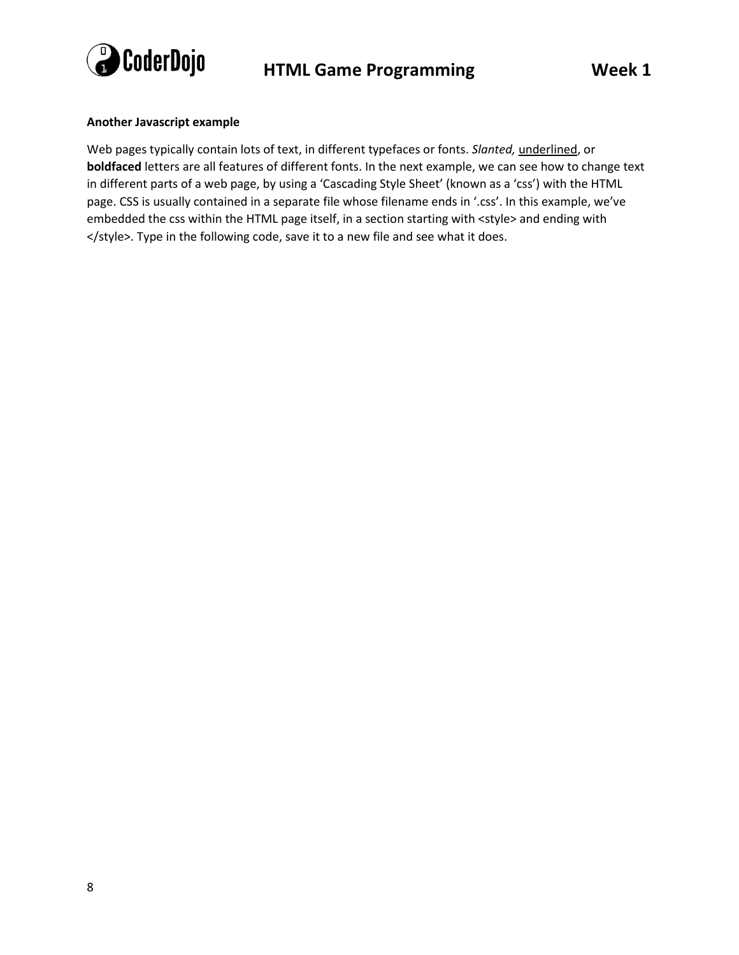

#### **Another Javascript example**

Web pages typically contain lots of text, in different typefaces or fonts. *Slanted,* underlined, or **boldfaced** letters are all features of different fonts. In the next example, we can see how to change text in different parts of a web page, by using a 'Cascading Style Sheet' (known as a 'css') with the HTML page. CSS is usually contained in a separate file whose filename ends in '.css'. In this example, we've embedded the css within the HTML page itself, in a section starting with <style> and ending with </style>. Type in the following code, save it to a new file and see what it does.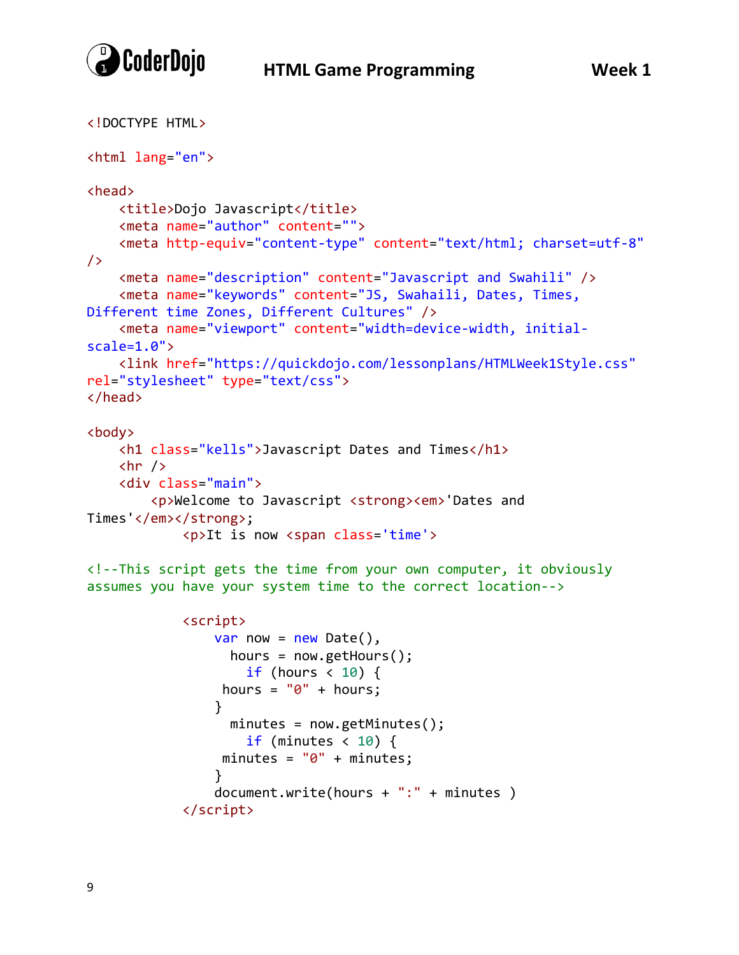

/>

```
<!DOCTYPE HTML>
<html lang="en">
<head>
     <title>Dojo Javascript</title>
     <meta name="author" content="">
     <meta http-equiv="content-type" content="text/html; charset=utf-8"
     <meta name="description" content="Javascript and Swahili" />
     <meta name="keywords" content="JS, Swahaili, Dates, Times, 
Different time Zones, Different Cultures" />
     <meta name="viewport" content="width=device-width, initial-
scale=1.0">
     <link href="https://quickdojo.com/lessonplans/HTMLWeek1Style.css"
rel="stylesheet" type="text/css">
</head>
<body>
     <h1 class="kells">Javascript Dates and Times</h1>
    \frac{1}{2} <div class="main">
         <p>Welcome to Javascript <strong><em>'Dates and 
Times'</em></strong>;
             <p>It is now <span class='time'>
<!--This script gets the time from your own computer, it obviously 
assumes you have your system time to the correct location-->
             <script>
```

```
var now = new Date(),
                  hours = now.getHours();
                  if (hours \langle 10 \rangle {
                hours = "0" + hours; }
                 minutes = now.getMinutes();
                   if (minutes < 10) {
                minutes = "0" + minutes; }
                document.write(hours + ":" + minutes )
            </script>
```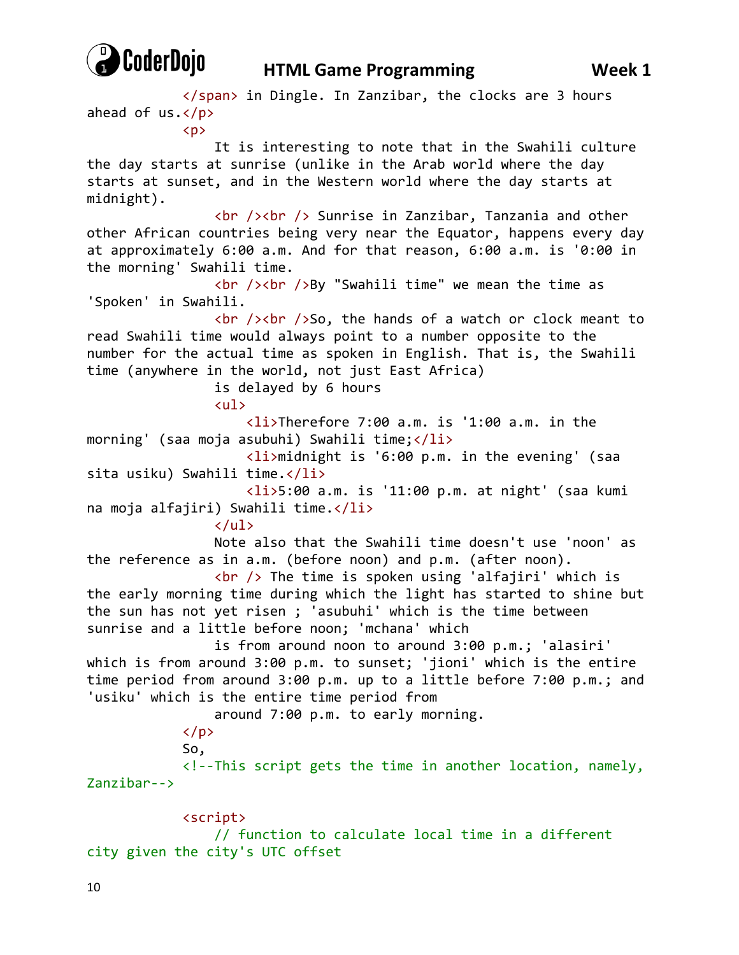

### **HTML Game Programming Week 1**

 </span> in Dingle. In Zanzibar, the clocks are 3 hours ahead of  $us.$  $\langle p \rangle$  It is interesting to note that in the Swahili culture the day starts at sunrise (unlike in the Arab world where the day starts at sunset, and in the Western world where the day starts at midnight). <br /><br /> Sunrise in Zanzibar, Tanzania and other other African countries being very near the Equator, happens every day at approximately 6:00 a.m. And for that reason, 6:00 a.m. is '0:00 in the morning' Swahili time.  $\frac{1}{2}$  /><br />By "Swahili time" we mean the time as 'Spoken' in Swahili.  $\frac{1}{2}$  /><br />So, the hands of a watch or clock meant to read Swahili time would always point to a number opposite to the number for the actual time as spoken in English. That is, the Swahili time (anywhere in the world, not just East Africa) is delayed by 6 hours <ul> <li>Therefore 7:00 a.m. is '1:00 a.m. in the morning' (saa moja asubuhi) Swahili time;</li> <li>midnight is '6:00 p.m. in the evening' (saa sita usiku) Swahili time.</li> <li>5:00 a.m. is '11:00 p.m. at night' (saa kumi na moja alfajiri) Swahili time.</li>  $\langle$ /ul> Note also that the Swahili time doesn't use 'noon' as the reference as in a.m. (before noon) and p.m. (after noon).  $\langle$ br  $/$  The time is spoken using 'alfajiri' which is the early morning time during which the light has started to shine but the sun has not yet risen ; 'asubuhi' which is the time between sunrise and a little before noon; 'mchana' which is from around noon to around 3:00 p.m.; 'alasiri' which is from around 3:00 p.m. to sunset; 'jioni' which is the entire time period from around 3:00 p.m. up to a little before 7:00 p.m.; and 'usiku' which is the entire time period from around 7:00 p.m. to early morning.  $\langle$ /p> So, <!--This script gets the time in another location, namely, Zanzibar--> <script> // function to calculate local time in a different city given the city's UTC offset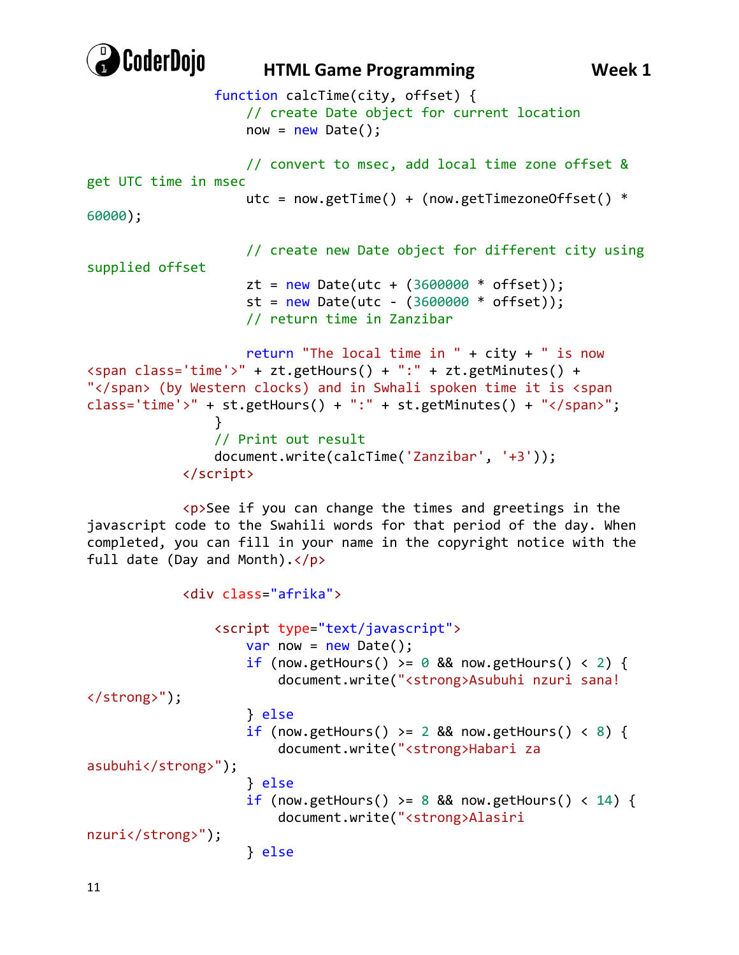

```
 function calcTime(city, offset) {
                     // create Date object for current location
                    now = new Date(); // convert to msec, add local time zone offset & 
get UTC time in msec
                    utc = now.getTime() + (now.getTimezoneOffset() *60000);
                     // create new Date object for different city using 
supplied offset
                    zt = new Date(ute + (3600000 * offset));st = new Date(ute - (3600000 * offset)); // return time in Zanzibar
                     return "The local time in " + city + " is now 
<span class='time'>" + zt.getHours() + ":" + zt.getMinutes() + 
"</span> (by Western clocks) and in Swhali spoken time it is <span 
class='time'>" + st.getHours() + ":" + st.getMinutes() + "</span>";
 }
                 // Print out result
                 document.write(calcTime('Zanzibar', '+3'));
             </script>
             <p>See if you can change the times and greetings in the 
javascript code to the Swahili words for that period of the day. When 
completed, you can fill in your name in the copyright notice with the 
full date (Day and Month).</p>
             <div class="afrika">
                 <script type="text/javascript">
                    var now = new Date();
                    if (now.getHours() >= 0 && now.getHours() < 2) {
                         document.write("<strong>Asubuhi nzuri sana! 
</strong>");
                     } else
                    if (now.getHours() >= 2 && now.getHours() < 8) {
                         document.write("<strong>Habari za 
asubuhi</strong>");
                     } else
                    if (now.getHours() >= 8 && now.getHours() < 14) {
                         document.write("<strong>Alasiri
```

```
nzuri</strong>");
```

```
 } else
```